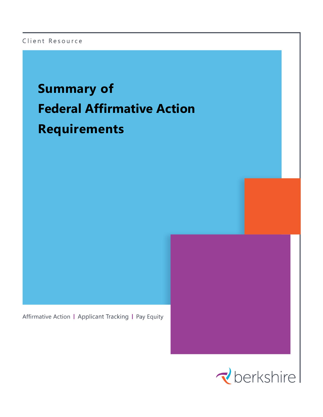### Client Resource

# **Summary of Federal Affirmative Action Requirements**

Affirmative Action | Applicant Tracking | Pay Equity

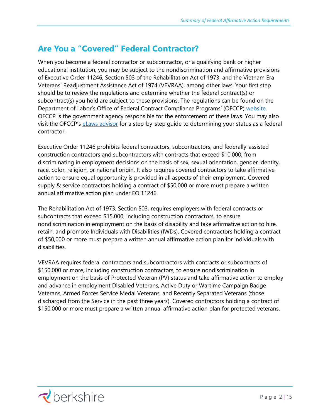## **Are You a "Covered" Federal Contractor?**

When you become a federal contractor or subcontractor, or a qualifying bank or higher educational institution, you may be subject to the nondiscrimination and affirmative provisions of Executive Order 11246, Section 503 of the Rehabilitation Act of 1973, and the Vietnam Era Veterans' Readjustment Assistance Act of 1974 (VEVRAA), among other laws. Your first step should be to review the regulations and determine whether the federal contract(s) or subcontract(s) you hold are subject to these provisions. The regulations can be found on the Department of Labor's Office of Federal Contract Compliance Programs' (OFCCP) [website.](http://www.dol.gov/ofccp/index.htm) OFCCP is the government agency responsible for the enforcement of these laws. You may also visit the OFCCP's elaws advisor for a step-by-step guide to determining your status as a federal contractor.

Executive Order 11246 prohibits federal contractors, subcontractors, and federally-assisted construction contractors and subcontractors with contracts that exceed \$10,000, from discriminating in employment decisions on the basis of sex, sexual orientation, gender identity, race, color, religion, or national origin. It also requires covered contractors to take affirmative action to ensure equal opportunity is provided in all aspects of their employment. Covered supply & service contractors holding a contract of \$50,000 or more must prepare a written annual affirmative action plan under EO 11246.

The Rehabilitation Act of 1973, Section 503, requires employers with federal contracts or subcontracts that exceed \$15,000, including construction contractors, to ensure nondiscrimination in employment on the basis of disability and take affirmative action to hire, retain, and promote Individuals with Disabilities (IWDs). Covered contractors holding a contract of \$50,000 or more must prepare a written annual affirmative action plan for individuals with disabilities.

VEVRAA requires federal contractors and subcontractors with contracts or subcontracts of \$150,000 or more, including construction contractors, to ensure nondiscrimination in employment on the basis of Protected Veteran (PV) status and take affirmative action to employ and advance in employment Disabled Veterans, Active Duty or Wartime Campaign Badge Veterans, Armed Forces Service Medal Veterans, and Recently Separated Veterans (those discharged from the Service in the past three years). Covered contractors holding a contract of \$150,000 or more must prepare a written annual affirmative action plan for protected veterans.

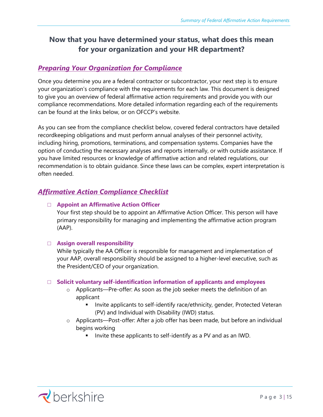## **Now that you have determined your status, what does this mean for your organization and your HR department?**

### *Preparing Your Organization for Compliance*

Once you determine you are a federal contractor or subcontractor, your next step is to ensure your organization's compliance with the requirements for each law. This document is designed to give you an overview of federal affirmative action requirements and provide you with our compliance recommendations. More detailed information regarding each of the requirements can be found at the links below, or on OFCCP's website.

As you can see from the compliance checklist below, covered federal contractors have detailed recordkeeping obligations and must perform annual analyses of their personnel activity, including hiring, promotions, terminations, and compensation systems. Companies have the option of conducting the necessary analyses and reports internally, or with outside assistance. If you have limited resources or knowledge of affirmative action and related regulations, our recommendation is to obtain guidance. Since these laws can be complex, expert interpretation is often needed.

### *Affirmative Action Compliance Checklist*

### **□ Appoint an Affirmative Action Officer**

Your first step should be to appoint an Affirmative Action Officer. This person will have primary responsibility for managing and implementing the affirmative action program (AAP).

### **□ Assign overall responsibility**

While typically the AA Officer is responsible for management and implementation of your AAP, overall responsibility should be assigned to a higher-level executive, such as the President/CEO of your organization.

### **□ Solicit voluntary self-identification information of applicants and employees**

- o Applicants—Pre-offer: As soon as the job seeker meets the definition of an applicant
	- Invite applicants to self-identify race/ethnicity, gender, Protected Veteran (PV) and Individual with Disability (IWD) status.
- o Applicants—Post-offer: After a job offer has been made, but before an individual begins working
	- Invite these applicants to self-identify as a PV and as an IWD.

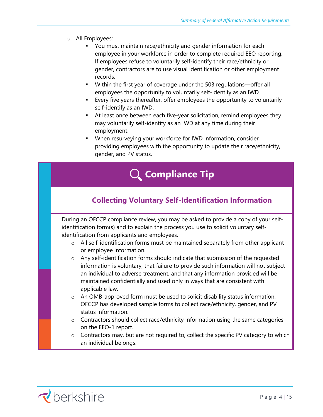- o All Employees:
	- You must maintain race/ethnicity and gender information for each employee in your workforce in order to complete required EEO reporting. If employees refuse to voluntarily self-identify their race/ethnicity or gender, contractors are to use visual identification or other employment records.
	- Within the first year of coverage under the 503 regulations—offer all employees the opportunity to voluntarily self-identify as an IWD.
	- Every five years thereafter, offer employees the opportunity to voluntarily self-identify as an IWD.
	- At least once between each five-year solicitation, remind employees they may voluntarily self-identify as an IWD at any time during their employment.
	- When resurveying your workforce for IWD information, consider providing employees with the opportunity to update their race/ethnicity, gender, and PV status.



## **Collecting Voluntary Self-Identification Information**

During an OFCCP compliance review, you may be asked to provide a copy of your selfidentification form(s) and to explain the process you use to solicit voluntary selfidentification from applicants and employees.

- o All self-identification forms must be maintained separately from other applicant or employee information.
- o Any self-identification forms should indicate that submission of the requested information is voluntary, that failure to provide such information will not subject an individual to adverse treatment, and that any information provided will be maintained confidentially and used only in ways that are consistent with applicable law.
- o An OMB-approved form must be used to solicit disability status information. OFCCP has developed sample forms to collect race/ethnicity, gender, and PV status information.
- o Contractors should collect race/ethnicity information using the same categories on the EEO-1 report.
- $\circ$  Contractors may, but are not required to, collect the specific PV category to which an individual belongs.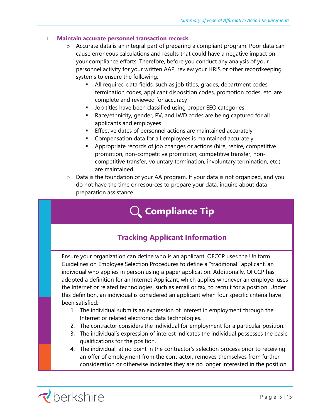### □ **Maintain accurate personnel transaction records**

- o Accurate data is an integral part of preparing a compliant program. Poor data can cause erroneous calculations and results that could have a negative impact on your compliance efforts. Therefore, before you conduct any analysis of your personnel activity for your written AAP, review your HRIS or other recordkeeping systems to ensure the following:
	- All required data fields, such as job titles, grades, department codes, termination codes, applicant disposition codes, promotion codes, etc. are complete and reviewed for accuracy
	- Job titles have been classified using proper EEO categories
	- Race/ethnicity, gender, PV, and IWD codes are being captured for all applicants and employees
	- **Effective dates of personnel actions are maintained accurately**
	- Compensation data for all employees is maintained accurately
	- Appropriate records of job changes or actions (hire, rehire, competitive promotion, non-competitive promotion, competitive transfer, noncompetitive transfer, voluntary termination, involuntary termination, etc.) are maintained
- $\circ$  Data is the foundation of your AA program. If your data is not organized, and you do not have the time or resources to prepare your data, inquire about data preparation assistance.

## **Compliance Tip**

## **Tracking Applicant Information**

Ensure your organization can define who is an applicant. OFCCP uses the Uniform Guidelines on Employee Selection Procedures to define a "traditional" applicant, an individual who applies in person using a paper application. Additionally, OFCCP has adopted a definition for an Internet Applicant, which applies whenever an employer uses the Internet or related technologies, such as email or fax, to recruit for a position. Under this definition, an individual is considered an applicant when four specific criteria have been satisfied:

- 1. The individual submits an expression of interest in employment through the Internet or related electronic data technologies.
- 2. The contractor considers the individual for employment for a particular position.
- 3. The individual's expression of interest indicates the individual possesses the basic qualifications for the position.
- 4. The individual, at no point in the contractor's selection process prior to receiving an offer of employment from the contractor, removes themselves from further consideration or otherwise indicates they are no longer interested in the position.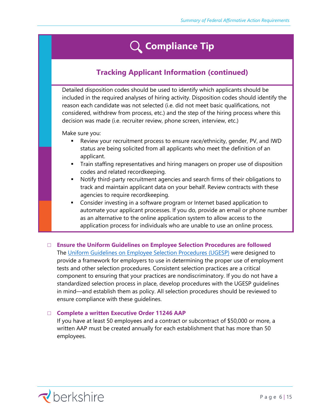## **Compliance Tip**

## **Tracking Applicant Information (continued)**

Detailed disposition codes should be used to identify which applicants should be included in the required analyses of hiring activity. Disposition codes should identify the reason each candidate was not selected (i.e. did not meet basic qualifications, not considered, withdrew from process, etc.) and the step of the hiring process where this decision was made (i.e. recruiter review, phone screen, interview, etc.)

Make sure you:

- **EXECT** Review your recruitment process to ensure race/ethnicity, gender, PV, and IWD status are being solicited from all applicants who meet the definition of an applicant.
- **•** Train staffing representatives and hiring managers on proper use of disposition codes and related recordkeeping.
- Notify third-party recruitment agencies and search firms of their obligations to track and maintain applicant data on your behalf. Review contracts with these agencies to require recordkeeping.
- **EXEDER** Consider investing in a software program or Internet based application to automate your applicant processes. If you do, provide an email or phone number as an alternative to the online application system to allow access to the application process for individuals who are unable to use an online process.
- □ **Ensure the Uniform Guidelines on Employee Selection Procedures are followed** The [Uniform Guidelines on Employee Selection Procedures \(UGESP\)](http://www.access.gpo.gov/nara/cfr/waisidx_03/29cfr1607_03.html) were designed to provide a framework for employers to use in determining the proper use of employment tests and other selection procedures. Consistent selection practices are a critical component to ensuring that your practices are nondiscriminatory. If you do not have a standardized selection process in place, develop procedures with the UGESP guidelines in mind—and establish them as policy. All selection procedures should be reviewed to ensure compliance with these guidelines.

### □ **Complete a written Executive Order 11246 AAP**

If you have at least 50 employees and a contract or subcontract of \$50,000 or more, a written AAP must be created annually for each establishment that has more than 50 employees.

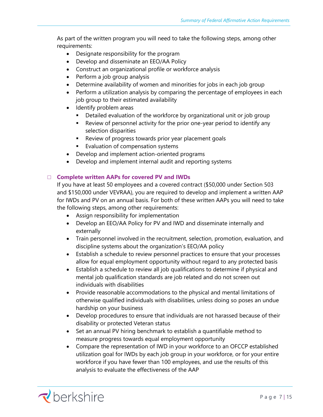As part of the written program you will need to take the following steps, among other requirements:

- Designate responsibility for the program
- Develop and disseminate an EEO/AA Policy
- Construct an organizational profile or workforce analysis
- Perform a job group analysis
- Determine availability of women and minorities for jobs in each job group
- Perform a utilization analysis by comparing the percentage of employees in each job group to their estimated availability
- Identify problem areas
	- **•** Detailed evaluation of the workforce by organizational unit or job group
	- Review of personnel activity for the prior one-year period to identify any selection disparities
	- Review of progress towards prior year placement goals
	- Evaluation of compensation systems
- Develop and implement action-oriented programs
- Develop and implement internal audit and reporting systems

### □ **Complete written AAPs for covered PV and IWDs**

If you have at least 50 employees and a covered contract (\$50,000 under Section 503 and \$150,000 under VEVRAA), you are required to develop and implement a written AAP for IWDs and PV on an annual basis. For both of these written AAPs you will need to take the following steps, among other requirements:

- Assign responsibility for implementation
- Develop an EEO/AA Policy for PV and IWD and disseminate internally and externally
- Train personnel involved in the recruitment, selection, promotion, evaluation, and discipline systems about the organization's EEO/AA policy
- Establish a schedule to review personnel practices to ensure that your processes allow for equal employment opportunity without regard to any protected basis
- Establish a schedule to review all job qualifications to determine if physical and mental job qualification standards are job related and do not screen out individuals with disabilities
- Provide reasonable accommodations to the physical and mental limitations of otherwise qualified individuals with disabilities, unless doing so poses an undue hardship on your business
- Develop procedures to ensure that individuals are not harassed because of their disability or protected Veteran status
- Set an annual PV hiring benchmark to establish a quantifiable method to measure progress towards equal employment opportunity
- Compare the representation of IWD in your workforce to an OFCCP established utilization goal for IWDs by each job group in your workforce, or for your entire workforce if you have fewer than 100 employees, and use the results of this analysis to evaluate the effectiveness of the AAP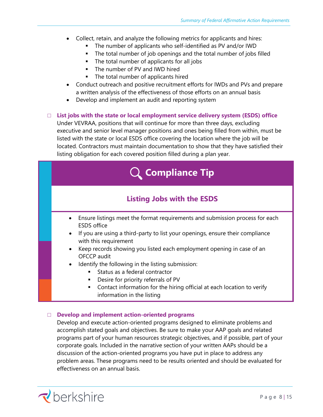- Collect, retain, and analyze the following metrics for applicants and hires:
	- The number of applicants who self-identified as PV and/or IWD
	- The total number of job openings and the total number of jobs filled
	- The total number of applicants for all jobs
	- The number of PV and IWD hired
	- The total number of applicants hired
- Conduct outreach and positive recruitment efforts for IWDs and PVs and prepare a written analysis of the effectiveness of those efforts on an annual basis
- Develop and implement an audit and reporting system
- □ **List jobs with the state or local employment service delivery system (ESDS) office**

Under VEVRAA, positions that will continue for more than three days, excluding executive and senior level manager positions and ones being filled from within, must be listed with the state or local ESDS office covering the location where the job will be located. Contractors must maintain documentation to show that they have satisfied their listing obligation for each covered position filled during a plan year.



### □ **Develop and implement action-oriented programs**

Develop and execute action-oriented programs designed to eliminate problems and accomplish stated goals and objectives. Be sure to make your AAP goals and related programs part of your human resources strategic objectives, and if possible, part of your corporate goals. Included in the narrative section of your written AAPs should be a discussion of the action-oriented programs you have put in place to address any problem areas. These programs need to be results oriented and should be evaluated for effectiveness on an annual basis.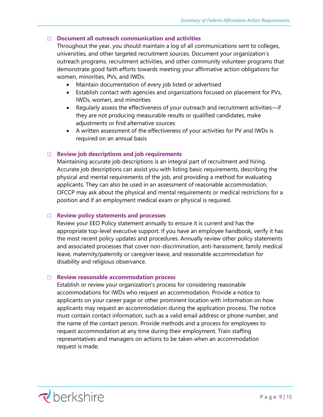### □ **Document all outreach communication and activities**

Throughout the year, you should maintain a log of all communications sent to colleges, universities, and other targeted recruitment sources. Document your organization's outreach programs, recruitment activities, and other community volunteer programs that demonstrate good faith efforts towards meeting your affirmative action obligations for women, minorities, PVs, and IWDs.

- Maintain documentation of every job listed or advertised
- Establish contact with agencies and organizations focused on placement for PVs, IWDs, women, and minorities
- Regularly assess the effectiveness of your outreach and recruitment activities—if they are not producing measurable results or qualified candidates, make adjustments or find alternative sources
- A written assessment of the effectiveness of your activities for PV and IWDs is required on an annual basis

### □ **Review job descriptions and job requirements**

Maintaining accurate job descriptions is an integral part of recruitment and hiring. Accurate job descriptions can assist you with listing basic requirements, describing the physical and mental requirements of the job, and providing a method for evaluating applicants. They can also be used in an assessment of reasonable accommodation. OFCCP may ask about the physical and mental requirements or medical restrictions for a position and if an employment medical exam or physical is required.

### □ **Review policy statements and processes**

Review your EEO Policy statement annually to ensure it is current and has the appropriate top-level executive support. If you have an employee handbook, verify it has the most recent policy updates and procedures. Annually review other policy statements and associated processes that cover non-discrimination, anti-harassment, family medical leave, maternity/paternity or caregiver leave, and reasonable accommodation for disability and religious observance.

### □ **Review reasonable accommodation process**

Establish or review your organization's process for considering reasonable accommodations for IWDs who request an accommodation. Provide a notice to applicants on your career page or other prominent location with information on how applicants may request an accommodation during the application process. The notice must contain contact information, such as a valid email address or phone number, and the name of the contact person. Provide methods and a process for employees to request accommodation at any time during their employment. Train staffing representatives and managers on actions to be taken when an accommodation request is made.

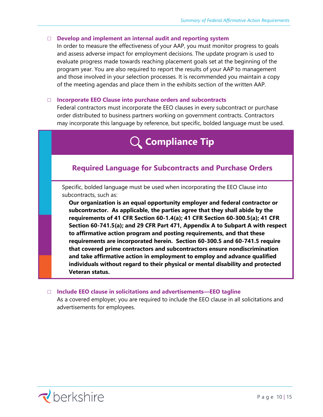### □ **Develop and implement an internal audit and reporting system**

In order to measure the effectiveness of your AAP, you must monitor progress to goals and assess adverse impact for employment decisions. The update program is used to evaluate progress made towards reaching placement goals set at the beginning of the program year. You are also required to report the results of your AAP to management and those involved in your selection processes. It is recommended you maintain a copy of the meeting agendas and place them in the exhibits section of the written AAP.

### □ **Incorporate EEO Clause into purchase orders and subcontracts**

Federal contractors must incorporate the EEO clauses in every subcontract or purchase order distributed to business partners working on government contracts. Contractors may incorporate this language by reference, but specific, bolded language must be used.

## **Compliance Tip**

### **Required Language for Subcontracts and Purchase Orders**

Specific, bolded language must be used when incorporating the EEO Clause into subcontracts, such as:

**Our organization is an equal opportunity employer and federal contractor or subcontractor. As applicable, the parties agree that they shall abide by the requirements of 41 CFR Section 60-1.4(a); 41 CFR Section 60-300.5(a); 41 CFR Section 60-741.5(a); and 29 CFR Part 471, Appendix A to Subpart A with respect to affirmative action program and posting requirements, and that these requirements are incorporated herein. Section 60-300.5 and 60-741.5 require that covered prime contractors and subcontractors ensure nondiscrimination and take affirmative action in employment to employ and advance qualified individuals without regard to their physical or mental disability and protected Veteran status.** 

### □ **Include EEO clause in solicitations and advertisements—EEO tagline**

As a covered employer, you are required to include the EEO clause in all solicitations and advertisements for employees.

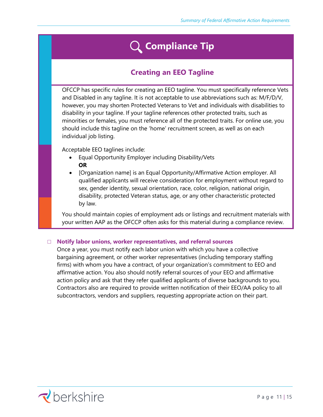## **Compliance Tip**

## **Creating an EEO Tagline**

OFCCP has specific rules for creating an EEO tagline. You must specifically reference Vets and Disabled in any tagline. It is not acceptable to use abbreviations such as: M/F/D/V, however, you may shorten Protected Veterans to Vet and individuals with disabilities to disability in your tagline. If your tagline references other protected traits, such as minorities or females, you must reference all of the protected traits. For online use, you should include this tagline on the 'home' recruitment screen, as well as on each individual job listing.

Acceptable EEO taglines include:

- Equal Opportunity Employer including Disability/Vets **OR**
- [Organization name] is an Equal Opportunity/Affirmative Action employer. All qualified applicants will receive consideration for employment without regard to sex, gender identity, sexual orientation, race, color, religion, national origin, disability, protected Veteran status, age, or any other characteristic protected by law.

You should maintain copies of employment ads or listings and recruitment materials with your written AAP as the OFCCP often asks for this material during a compliance review.

### □ **Notify labor unions, worker representatives, and referral sources**

Once a year, you must notify each labor union with which you have a collective bargaining agreement, or other worker representatives (including temporary staffing firms) with whom you have a contract, of your organization's commitment to EEO and affirmative action. You also should notify referral sources of your EEO and affirmative action policy and ask that they refer qualified applicants of diverse backgrounds to you. Contractors also are required to provide written notification of their EEO/AA policy to all subcontractors, vendors and suppliers, requesting appropriate action on their part.

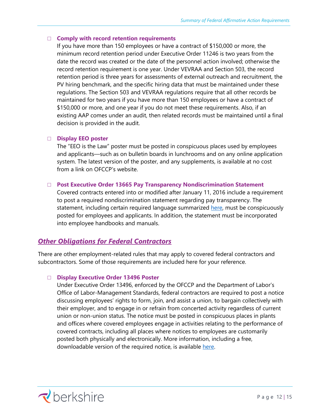### □ **Comply with record retention requirements**

If you have more than 150 employees or have a contract of \$150,000 or more, the minimum record retention period under Executive Order 11246 is two years from the date the record was created or the date of the personnel action involved; otherwise the record retention requirement is one year. Under VEVRAA and Section 503, the record retention period is three years for assessments of external outreach and recruitment, the PV hiring benchmark, and the specific hiring data that must be maintained under these regulations. The Section 503 and VEVRAA regulations require that all other records be maintained for two years if you have more than 150 employees or have a contract of \$150,000 or more, and one year if you do not meet these requirements. Also, if an existing AAP comes under an audit, then related records must be maintained until a final decision is provided in the audit.

#### □ **Display EEO poster**

The "EEO is the Law" poster must be posted in conspicuous places used by employees and applicants—such as on bulletin boards in lunchrooms and on any online application system. The latest version of the poster, and any supplements, is available at no cost from a link on OFCCP's website.

#### □ **Post Executive Order 13665 Pay Transparency Nondiscrimination Statement**

Covered contracts entered into or modified after January 11, 2016 include a requirement to post a required nondiscrimination statement regarding pay transparency. The statement, including certain required language summarized [here,](http://www.dol.gov/ofccp/PayTransparency.html) must be conspicuously posted for employees and applicants. In addition, the statement must be incorporated into employee handbooks and manuals.

### *Other Obligations for Federal Contractors*

There are other employment-related rules that may apply to covered federal contractors and subcontractors. Some of those requirements are included here for your reference.

### □ **Display Executive Order 13496 Poster**

Under Executive Order 13496, enforced by the OFCCP and the Department of Labor's Office of Labor-Management Standards, federal contractors are required to post a notice discussing employees' rights to form, join, and assist a union, to bargain collectively with their employer, and to engage in or refrain from concerted activity regardless of current union or non-union status. The notice must be posted in conspicuous places in plants and offices where covered employees engage in activities relating to the performance of covered contracts, including all places where notices to employees are customarily posted both physically and electronically. More information, including a free, downloadable version of the required notice, is available [here.](http://www.dol.gov/olms/regs/compliance/EO13496.htm)

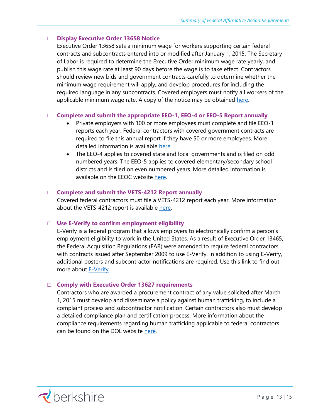### □ **Display Executive Order 13658 Notice**

Executive Order 13658 sets a minimum wage for workers supporting certain federal contracts and subcontracts entered into or modified after January 1, 2015. The Secretary of Labor is required to determine the Executive Order minimum wage rate yearly, and publish this wage rate at least 90 days before the wage is to take effect. Contractors should review new bids and government contracts carefully to determine whether the minimum wage requirement will apply, and develop procedures for including the required language in any subcontracts. Covered employers must notify all workers of the applicable minimum wage rate. A copy of the notice may be obtained [here.](http://www.dol.gov/whd/regs/compliance/posters/mw-contractors.pdf)

### □ **Complete and submit the appropriate EEO-1, EEO-4 or EEO-5 Report annually**

- Private employers with 100 or more employees must complete and file EEO-1 reports each year. Federal contractors with covered government contracts are required to file this annual report if they have 50 or more employees. More detailed information is available [here.](http://www.eeoc.gov/employers/eeo1survey/index.cfm)
- The EEO-4 applies to covered state and local governments and is filed on odd numbered years. The EEO-5 applies to covered elementary/secondary school districts and is filed on even numbered years. More detailed information is available on the EEOC website [here.](http://www.eeoc.gov/employers/reporting.cfm)

### □ **Complete and submit the VETS-4212 Report annually**

Covered federal contractors must file a VETS-4212 report each year. More information about the VETS-4212 report is available [here.](https://www.dol.gov/agencies/vets/programs/vets4212)

### □ **Use E-Verify to confirm employment eligibility**

E-Verify is a federal program that allows employers to electronically confirm a person's employment eligibility to work in the United States. As a result of Executive Order 13465, the Federal Acquisition Regulations (FAR) were amended to require federal contractors with contracts issued after September 2009 to use E-Verify. In addition to using E-Verify, additional posters and subcontractor notifications are required. Use this link to find out more about [E-Verify.](http://www.uscis.gov/e-verify)

#### □ **Comply with Executive Order 13627 requirements**

Contractors who are awarded a procurement contract of any value solicited after March 1, 2015 must develop and disseminate a policy against human trafficking, to include a complaint process and subcontractor notification. Certain contractors also must develop a detailed compliance plan and certification process. More information about the compliance requirements regarding human trafficking applicable to federal contractors can be found on the DOL website [here.](http://www.dol.gov/asp/policy-development/trafficking.htm)

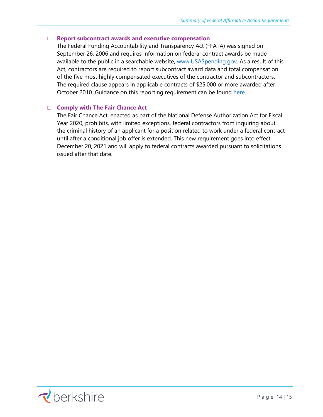### □ **Report subcontract awards and executive compensation**

The Federal Funding Accountability and Transparency Act (FFATA) was signed on September 26, 2006 and requires information on federal contract awards be made available to the public in a searchable website, [www.USASpending.gov.](file:///C:/Users/lynnc/AppData/Local/Microsoft/Windows/INetCache/Content.Outlook/Y34Z0736/www.USASpending.gov) As a result of this Act, contractors are required to report subcontract award data and total compensation of the five most highly compensated executives of the contractor and subcontractors. The required clause appears in applicable contracts of \$25,000 or more awarded after October 2010. Guidance on this reporting requirement can be found [here.](https://www.fsrs.gov/)

### □ **Comply with The Fair Chance Act**

The Fair Chance Act, enacted as part of the National Defense Authorization Act for Fiscal Year 2020, prohibits, with limited exceptions, federal contractors from inquiring about the criminal history of an applicant for a position related to work under a federal contract until after a conditional job offer is extended. This new requirement goes into effect December 20, 2021 and will apply to federal contracts awarded pursuant to solicitations issued after that date.